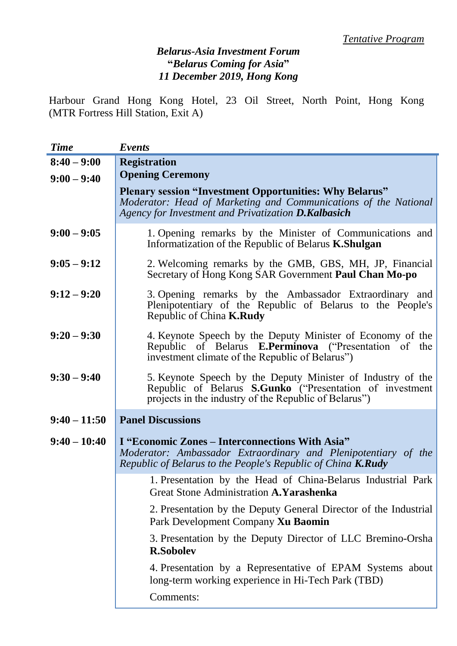## *Belarus-Asia Investment Forum* **"***Belarus Coming for Asia***"** *11 December 2019, Hong Kong*

Harbour Grand Hong Kong Hotel, 23 Oil Street, North Point, Hong Kong (MTR Fortress Hill Station, Exit A)

| <b>Time</b>    | Events                                                                                                                                                                                   |
|----------------|------------------------------------------------------------------------------------------------------------------------------------------------------------------------------------------|
| $8:40 - 9:00$  | <b>Registration</b>                                                                                                                                                                      |
| $9:00 - 9:40$  | <b>Opening Ceremony</b>                                                                                                                                                                  |
|                | <b>Plenary session "Investment Opportunities: Why Belarus"</b><br>Moderator: Head of Marketing and Communications of the National<br>Agency for Investment and Privatization D.Kalbasich |
| $9:00 - 9:05$  | 1. Opening remarks by the Minister of Communications and<br>Informatization of the Republic of Belarus <b>K.Shulgan</b>                                                                  |
| $9:05 - 9:12$  | 2. Welcoming remarks by the GMB, GBS, MH, JP, Financial<br>Secretary of Hong Kong SAR Government Paul Chan Mo-po                                                                         |
| $9:12 - 9:20$  | 3. Opening remarks by the Ambassador Extraordinary and<br>Plenipotentiary of the Republic of Belarus to the People's<br>Republic of China <b>K.Rudy</b>                                  |
| $9:20 - 9:30$  | 4. Keynote Speech by the Deputy Minister of Economy of the<br>Republic of Belarus <b>E.Perminova</b> ("Presentation of the<br>investment climate of the Republic of Belarus")            |
| $9:30 - 9:40$  | 5. Keynote Speech by the Deputy Minister of Industry of the<br>Republic of Belarus S.Gunko ("Presentation of investment<br>projects in the industry of the Republic of Belarus")         |
| $9:40 - 11:50$ | <b>Panel Discussions</b>                                                                                                                                                                 |
| $9:40 - 10:40$ | I "Economic Zones – Interconnections With Asia"<br>Moderator: Ambassador Extraordinary and Plenipotentiary of the<br>Republic of Belarus to the People's Republic of China K.Rudy        |
|                | 1. Presentation by the Head of China-Belarus Industrial Park<br>Great Stone Administration A. Yarashenka                                                                                 |
|                | 2. Presentation by the Deputy General Director of the Industrial<br>Park Development Company Xu Baomin                                                                                   |
|                | 3. Presentation by the Deputy Director of LLC Bremino-Orsha<br><b>R.Sobolev</b>                                                                                                          |
|                | 4. Presentation by a Representative of EPAM Systems about<br>long-term working experience in Hi-Tech Park (TBD)                                                                          |
|                | Comments:                                                                                                                                                                                |